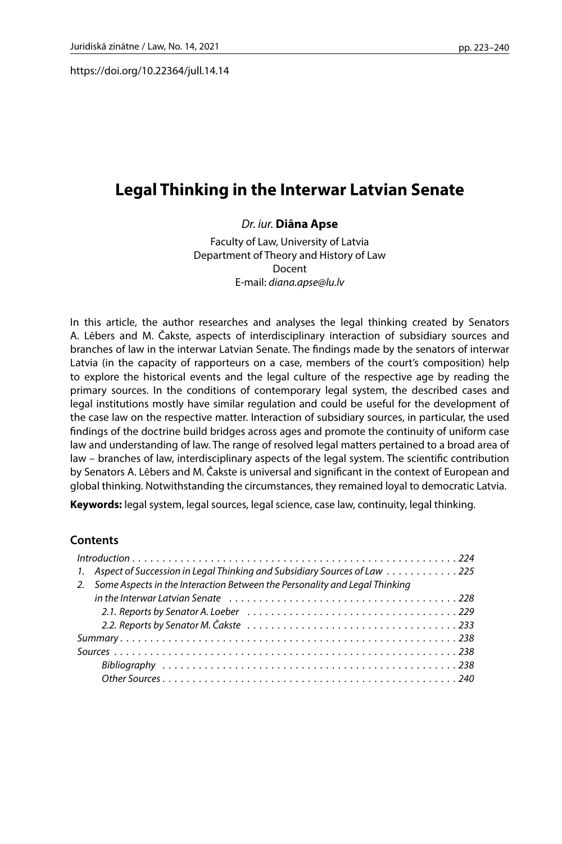https://doi.org/10.22364/jull.14.14

# **Legal Thinking in the Interwar Latvian Senate**

### *Dr. iur.* **Diāna Apse**

Faculty of Law, University of Latvia Department of Theory and History of Law Docent E-mail: *[diana.apse@lu.lv](mailto:diana.apse@lu.lv)*

In this article, the author researches and analyses the legal thinking created by Senators A. Lēbers and M. Čakste, aspects of interdisciplinary interaction of subsidiary sources and branches of law in the interwar Latvian Senate. The findings made by the senators of interwar Latvia (in the capacity of rapporteurs on a case, members of the court's composition) help to explore the historical events and the legal culture of the respective age by reading the primary sources. In the conditions of contemporary legal system, the described cases and legal institutions mostly have similar regulation and could be useful for the development of the case law on the respective matter. Interaction of subsidiary sources, in particular, the used findings of the doctrine build bridges across ages and promote the continuity of uniform case law and understanding of law. The range of resolved legal matters pertained to a broad area of law – branches of law, interdisciplinary aspects of the legal system. The scientific contribution by Senators A. Lēbers and M. Čakste is universal and significant in the context of European and global thinking. Notwithstanding the circumstances, they remained loyal to democratic Latvia.

**Keywords:** legal system, legal sources, legal science, case law, continuity, legal thinking.

### **Contents**

| 1. Aspect of Succession in Legal Thinking and Subsidiary Sources of Law  225  |
|-------------------------------------------------------------------------------|
| 2. Some Aspects in the Interaction Between the Personality and Legal Thinking |
|                                                                               |
|                                                                               |
|                                                                               |
|                                                                               |
|                                                                               |
|                                                                               |
|                                                                               |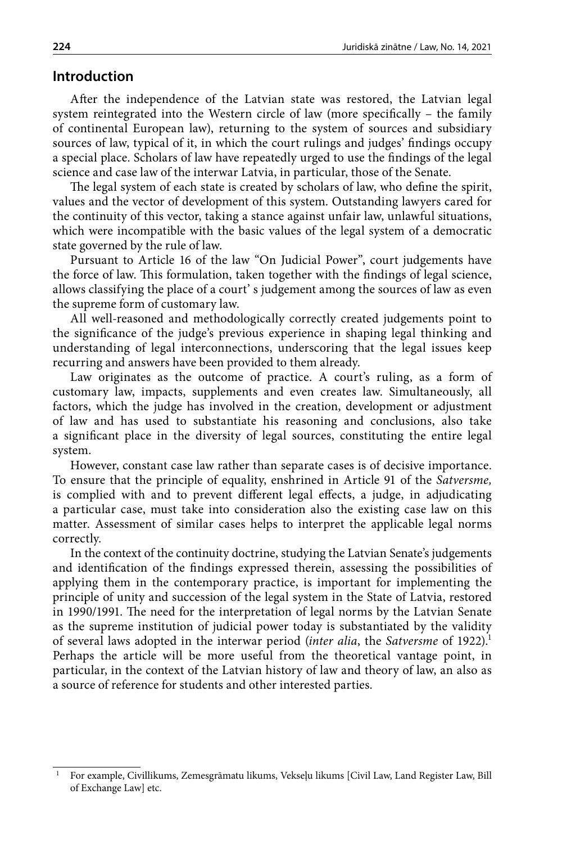### **Introduction**

After the independence of the Latvian state was restored, the Latvian legal system reintegrated into the Western circle of law (more specifically – the family of continental European law), returning to the system of sources and subsidiary sources of law, typical of it, in which the court rulings and judges' findings occupy a special place. Scholars of law have repeatedly urged to use the findings of the legal science and case law of the interwar Latvia, in particular, those of the Senate.

The legal system of each state is created by scholars of law, who define the spirit, values and the vector of development of this system. Outstanding lawyers cared for the continuity of this vector, taking a stance against unfair law, unlawful situations, which were incompatible with the basic values of the legal system of a democratic state governed by the rule of law.

Pursuant to Article 16 of the law "On Judicial Power", court judgements have the force of law. This formulation, taken together with the findings of legal science, allows classifying the place of a court' s judgement among the sources of law as even the supreme form of customary law.

All well-reasoned and methodologically correctly created judgements point to the significance of the judge's previous experience in shaping legal thinking and understanding of legal interconnections, underscoring that the legal issues keep recurring and answers have been provided to them already.

Law originates as the outcome of practice. A court's ruling, as a form of customary law, impacts, supplements and even creates law. Simultaneously, all factors, which the judge has involved in the creation, development or adjustment of law and has used to substantiate his reasoning and conclusions, also take a significant place in the diversity of legal sources, constituting the entire legal system.

However, constant case law rather than separate cases is of decisive importance. To ensure that the principle of equality, enshrined in Article 91 of the *Satversme,*  is complied with and to prevent different legal effects, a judge, in adjudicating a particular case, must take into consideration also the existing case law on this matter. Assessment of similar cases helps to interpret the applicable legal norms correctly.

In the context of the continuity doctrine, studying the Latvian Senate's judgements and identification of the findings expressed therein, assessing the possibilities of applying them in the contemporary practice, is important for implementing the principle of unity and succession of the legal system in the State of Latvia, restored in 1990/1991. The need for the interpretation of legal norms by the Latvian Senate as the supreme institution of judicial power today is substantiated by the validity of several laws adopted in the interwar period (*inter alia*, the *Satversme* of 1922).1 Perhaps the article will be more useful from the theoretical vantage point, in particular, in the context of the Latvian history of law and theory of law, an also as a source of reference for students and other interested parties.

<sup>1</sup> For example, Civillikums, Zemesgrāmatu likums, Vekseļu likums [Civil Law, Land Register Law, Bill of Exchange Law] etc.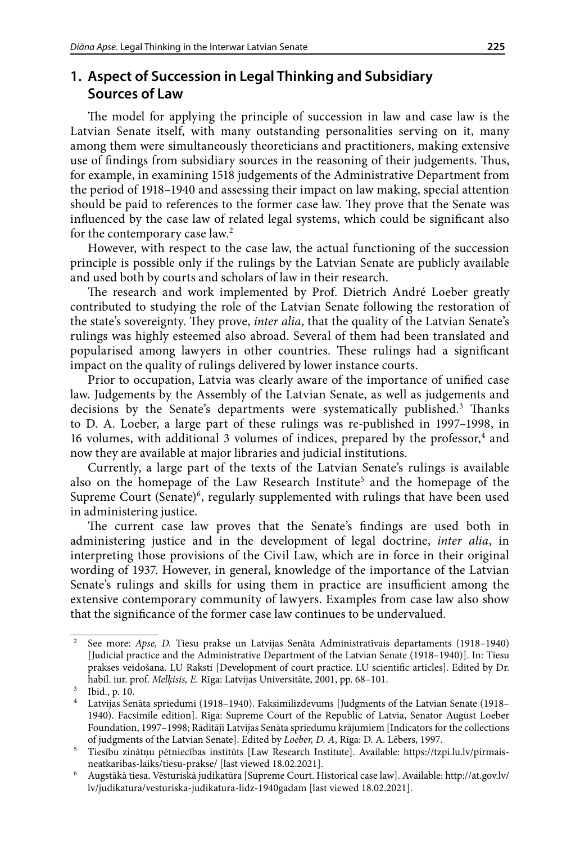# **1. Aspect of Succession in Legal Thinking and Subsidiary Sources of Law**

The model for applying the principle of succession in law and case law is the Latvian Senate itself, with many outstanding personalities serving on it, many among them were simultaneously theoreticians and practitioners, making extensive use of findings from subsidiary sources in the reasoning of their judgements. Thus, for example, in examining 1518 judgements of the Administrative Department from the period of 1918–1940 and assessing their impact on law making, special attention should be paid to references to the former case law. They prove that the Senate was influenced by the case law of related legal systems, which could be significant also for the contemporary case law.<sup>2</sup>

However, with respect to the case law, the actual functioning of the succession principle is possible only if the rulings by the Latvian Senate are publicly available and used both by courts and scholars of law in their research.

The research and work implemented by Prof. Dietrich André Loeber greatly contributed to studying the role of the Latvian Senate following the restoration of the state's sovereignty. They prove, *inter alia*, that the quality of the Latvian Senate's rulings was highly esteemed also abroad. Several of them had been translated and popularised among lawyers in other countries. These rulings had a significant impact on the quality of rulings delivered by lower instance courts.

Prior to occupation, Latvia was clearly aware of the importance of unified case law. Judgements by the Assembly of the Latvian Senate, as well as judgements and decisions by the Senate's departments were systematically published.<sup>3</sup> Thanks to D. A. Loeber, a large part of these rulings was re-published in 1997–1998, in 16 volumes, with additional 3 volumes of indices, prepared by the professor,<sup>4</sup> and now they are available at major libraries and judicial institutions.

Currently, a large part of the texts of the Latvian Senate's rulings is available also on the homepage of the Law Research Institute<sup>5</sup> and the homepage of the Supreme Court (Senate)<sup>6</sup>, regularly supplemented with rulings that have been used in administering justice.

The current case law proves that the Senate's findings are used both in administering justice and in the development of legal doctrine, *inter alia*, in interpreting those provisions of the Civil Law, which are in force in their original wording of 1937. However, in general, knowledge of the importance of the Latvian Senate's rulings and skills for using them in practice are insufficient among the extensive contemporary community of lawyers. Examples from case law also show that the significance of the former case law continues to be undervalued.

<sup>2</sup> See more: *Apse, D.* Tiesu prakse un Latvijas Senāta Administratīvais departaments (1918–1940) [Judicial practice and the Administrative Department of the Latvian Senate (1918–1940)]. In: Tiesu prakses veidošana. LU Raksti [Development of court practice. LU scientific articles]. Edited by Dr. habil. iur. prof. *Melķisis, E.* Rīga: Latvijas Universitāte, 2001, pp. 68–101.

 $\frac{3}{4}$  Ibid., p. 10.<br> $\frac{4}{4}$  Latvijas Ser

<sup>4</sup> Latvijas Senāta spriedumi (1918–1940). Faksimilizdevums [Judgments of the Latvian Senate (1918– 1940). Facsimile edition]. Rīga: Supreme Court of the Republic of Latvia, Senator August Loeber Foundation, 1997–1998; Rādītāji Latvijas Senāta spriedumu krājumiem [Indicators for the collections of judgments of the Latvian Senate]. Edited by *Loeber, D. A*, Rīga: D. A. Lēbers, 1997.

<sup>5</sup> Tiesību zinātņu pētniecības institūts [Law Research Institute]. Available: https://tzpi.lu.lv/pirmaisneatkaribas-laiks/tiesu-prakse/ [last viewed 18.02.2021].

<sup>6</sup> Augstākā tiesa. Vēsturiskā judikatūra [Supreme Court. Historical case law]. Available: http://at.gov.lv/ lv/judikatura/vesturiska-judikatura-lidz-1940gadam [last viewed 18.02.2021].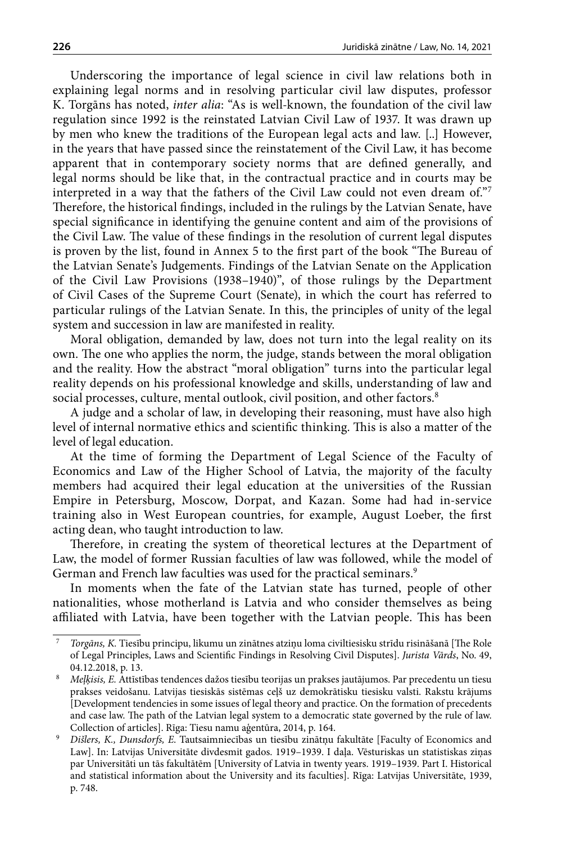Underscoring the importance of legal science in civil law relations both in explaining legal norms and in resolving particular civil law disputes, professor K. Torgāns has noted, *inter alia*: "As is well-known, the foundation of the civil law regulation since 1992 is the reinstated Latvian Civil Law of 1937. It was drawn up by men who knew the traditions of the European legal acts and law. [..] However, in the years that have passed since the reinstatement of the Civil Law, it has become apparent that in contemporary society norms that are defined generally, and legal norms should be like that, in the contractual practice and in courts may be interpreted in a way that the fathers of the Civil Law could not even dream of."7 Therefore, the historical findings, included in the rulings by the Latvian Senate, have special significance in identifying the genuine content and aim of the provisions of the Civil Law. The value of these findings in the resolution of current legal disputes is proven by the list, found in Annex 5 to the first part of the book "The Bureau of the Latvian Senate's Judgements. Findings of the Latvian Senate on the Application of the Civil Law Provisions (1938–1940)", of those rulings by the Department of Civil Cases of the Supreme Court (Senate), in which the court has referred to particular rulings of the Latvian Senate. In this, the principles of unity of the legal system and succession in law are manifested in reality.

Moral obligation, demanded by law, does not turn into the legal reality on its own. The one who applies the norm, the judge, stands between the moral obligation and the reality. How the abstract "moral obligation" turns into the particular legal reality depends on his professional knowledge and skills, understanding of law and social processes, culture, mental outlook, civil position, and other factors.<sup>8</sup>

A judge and a scholar of law, in developing their reasoning, must have also high level of internal normative ethics and scientific thinking. This is also a matter of the level of legal education.

At the time of forming the Department of Legal Science of the Faculty of Economics and Law of the Higher School of Latvia, the majority of the faculty members had acquired their legal education at the universities of the Russian Empire in Petersburg, Moscow, Dorpat, and Kazan. Some had had in-service training also in West European countries, for example, August Loeber, the first acting dean, who taught introduction to law.

Therefore, in creating the system of theoretical lectures at the Department of Law, the model of former Russian faculties of law was followed, while the model of German and French law faculties was used for the practical seminars.<sup>9</sup>

In moments when the fate of the Latvian state has turned, people of other nationalities, whose motherland is Latvia and who consider themselves as being affiliated with Latvia, have been together with the Latvian people. This has been

<sup>7</sup> *Torgāns, K.* Tiesību principu, likumu un zinātnes atziņu loma civiltiesisku strīdu risināšanā [The Role of Legal Principles, Laws and Scientific Findings in Resolving Civil Disputes]. *Jurista Vārds*, No. 49, 04.12.2018, p. 13.

<sup>8</sup> *Meļķisis, E.* Attīstības tendences dažos tiesību teorijas un prakses jautājumos. Par precedentu un tiesu prakses veidošanu. Latvijas tiesiskās sistēmas ceļš uz demokrātisku tiesisku valsti. Rakstu krājums [Development tendencies in some issues of legal theory and practice. On the formation of precedents and case law. The path of the Latvian legal system to a democratic state governed by the rule of law.

Collection of articles]. Rīga: Tiesu namu aģentūra, 2014, p. 164.<br>*Dišlers, K., Dunsdorfs, E.* Tautsaimniecības un tiesību zinātņu fakultāte [Faculty of Economics and Law]. In: Latvijas Universitāte divdesmit gados. 1919–1939. I daļa. Vēsturiskas un statistiskas ziņas par Universitāti un tās fakultātēm [University of Latvia in twenty years. 1919–1939. Part I. Historical and statistical information about the University and its faculties]. Rīga: Latvijas Universitāte, 1939, p. 748.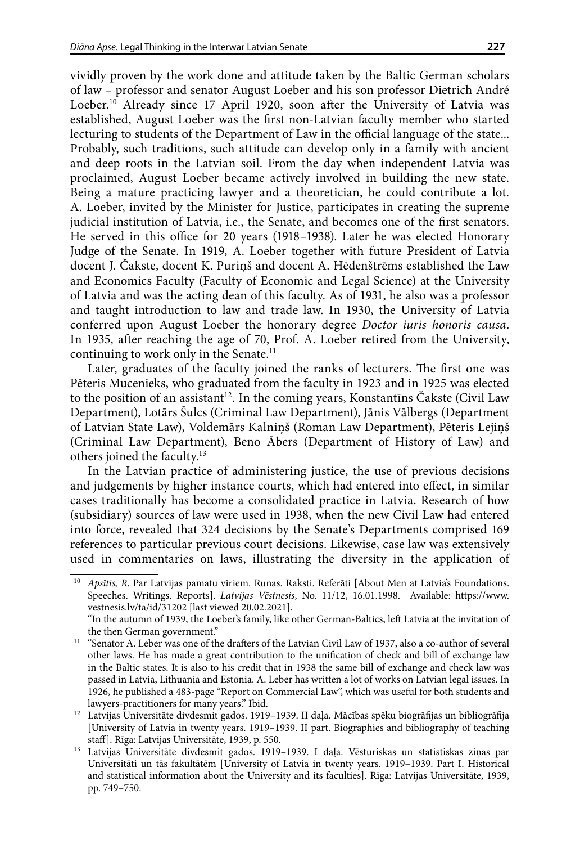vividly proven by the work done and attitude taken by the Baltic German scholars of law – professor and senator August Loeber and his son professor Dietrich André Loeber.<sup>10</sup> Already since 17 April 1920, soon after the University of Latvia was established, August Loeber was the first non-Latvian faculty member who started lecturing to students of the Department of Law in the official language of the state... Probably, such traditions, such attitude can develop only in a family with ancient and deep roots in the Latvian soil. From the day when independent Latvia was proclaimed, August Loeber became actively involved in building the new state. Being a mature practicing lawyer and a theoretician, he could contribute a lot. A. Loeber, invited by the Minister for Justice, participates in creating the supreme judicial institution of Latvia, i.e., the Senate, and becomes one of the first senators. He served in this office for 20 years (1918–1938). Later he was elected Honorary Judge of the Senate. In 1919, A. Loeber together with future President of Latvia docent J. Čakste, docent K. Puriņš and docent A. Hēdenštrēms established the Law and Economics Faculty (Faculty of Economic and Legal Science) at the University of Latvia and was the acting dean of this faculty. As of 1931, he also was a professor and taught introduction to law and trade law. In 1930, the University of Latvia conferred upon August Loeber the honorary degree *Doctor iuris honoris causa*. In 1935, after reaching the age of 70, Prof. A. Loeber retired from the University, continuing to work only in the Senate.<sup>11</sup>

Later, graduates of the faculty joined the ranks of lecturers. The first one was Pēteris Mucenieks, who graduated from the faculty in 1923 and in 1925 was elected to the position of an assistant<sup>12</sup>. In the coming years, Konstantins Čakste (Civil Law Department), Lotārs Šulcs (Criminal Law Department), Jānis Vālbergs (Department of Latvian State Law), Voldemārs Kalniņš (Roman Law Department), Pēteris Lejiņš (Criminal Law Department), Beno Ābers (Department of History of Law) and others joined the faculty.13

In the Latvian practice of administering justice, the use of previous decisions and judgements by higher instance courts, which had entered into effect, in similar cases traditionally has become a consolidated practice in Latvia. Research of how (subsidiary) sources of law were used in 1938, when the new Civil Law had entered into force, revealed that 324 decisions by the Senate's Departments comprised 169 references to particular previous court decisions. Likewise, case law was extensively used in commentaries on laws, illustrating the diversity in the application of

<sup>10</sup> *Apsītis, R*. Par Latvijas pamatu vīriem. Runas. Raksti. Referāti [About Men at Latvia's Foundations. Speeches. Writings. Reports]. *Latvijas Vēstnesis*, No. 11/12, 16.01.1998. Available: [https://www.](https://www.vestnesis.lv/ta/id/31202) [vestnesis.lv/ta/id/31202](https://www.vestnesis.lv/ta/id/31202) [last viewed 20.02.2021].

<sup>&</sup>quot;In the autumn of 1939, the Loeber's family, like other German-Baltics, left Latvia at the invitation of the then German government."

<sup>&</sup>lt;sup>11</sup> "Senator A. Leber was one of the drafters of the Latvian Civil Law of 1937, also a co-author of several other laws. He has made a great contribution to the unification of check and bill of exchange law in the Baltic states. It is also to his credit that in 1938 the same bill of exchange and check law was passed in Latvia, Lithuania and Estonia. A. Leber has written a lot of works on Latvian legal issues. In 1926, he published a 483-page "Report on Commercial Law", which was useful for both students and lawyers-practitioners for many years." Ibid.

<sup>&</sup>lt;sup>12</sup> Latvijas Universitāte divdesmit gados. 1919-1939. II daļa. Mācības spēku biogrāfijas un bibliogrāfija [University of Latvia in twenty years. 1919–1939. II part. Biographies and bibliography of teaching staff]. Rīga: Latvijas Universitāte, 1939, p. 550.

<sup>&</sup>lt;sup>13</sup> Latvijas Universitāte divdesmit gados. 1919-1939. I daļa. Vēsturiskas un statistiskas ziņas par Universitāti un tās fakultātēm [University of Latvia in twenty years. 1919–1939. Part I. Historical and statistical information about the University and its faculties]. Rīga: Latvijas Universitāte, 1939, pp. 749–750.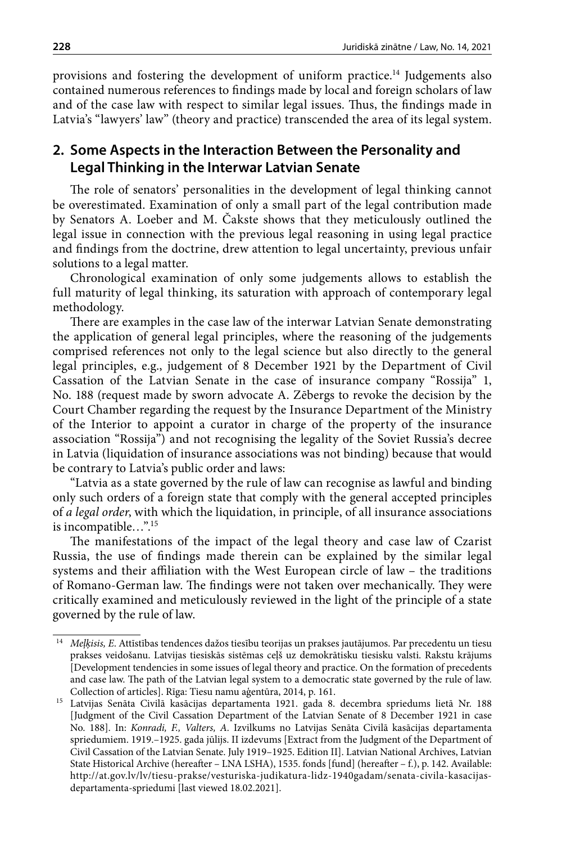provisions and fostering the development of uniform practice.14 Judgements also contained numerous references to findings made by local and foreign scholars of law and of the case law with respect to similar legal issues. Thus, the findings made in Latvia's "lawyers' law" (theory and practice) transcended the area of its legal system.

# **2. Some Aspects in the Interaction Between the Personality and Legal Thinking in the Interwar Latvian Senate**

The role of senators' personalities in the development of legal thinking cannot be overestimated. Examination of only a small part of the legal contribution made by Senators A. Loeber and M. Čakste shows that they meticulously outlined the legal issue in connection with the previous legal reasoning in using legal practice and findings from the doctrine, drew attention to legal uncertainty, previous unfair solutions to a legal matter.

Chronological examination of only some judgements allows to establish the full maturity of legal thinking, its saturation with approach of contemporary legal methodology.

There are examples in the case law of the interwar Latvian Senate demonstrating the application of general legal principles, where the reasoning of the judgements comprised references not only to the legal science but also directly to the general legal principles, e.g., judgement of 8 December 1921 by the Department of Civil Cassation of the Latvian Senate in the case of insurance company "Rossija" 1, No. 188 (request made by sworn advocate A. Zēbergs to revoke the decision by the Court Chamber regarding the request by the Insurance Department of the Ministry of the Interior to appoint a curator in charge of the property of the insurance association "Rossija") and not recognising the legality of the Soviet Russia's decree in Latvia (liquidation of insurance associations was not binding) because that would be contrary to Latvia's public order and laws:

"Latvia as a state governed by the rule of law can recognise as lawful and binding only such orders of a foreign state that comply with the general accepted principles of *a legal order*, with which the liquidation, in principle, of all insurance associations is incompatible…".15

The manifestations of the impact of the legal theory and case law of Czarist Russia, the use of findings made therein can be explained by the similar legal systems and their affiliation with the West European circle of law – the traditions of Romano-German law. The findings were not taken over mechanically. They were critically examined and meticulously reviewed in the light of the principle of a state governed by the rule of law.

<sup>14</sup> *Meļķisis, E*. Attīstības tendences dažos tiesību teorijas un prakses jautājumos. Par precedentu un tiesu prakses veidošanu. Latvijas tiesiskās sistēmas ceļš uz demokrātisku tiesisku valsti. Rakstu krājums [Development tendencies in some issues of legal theory and practice. On the formation of precedents and case law. The path of the Latvian legal system to a democratic state governed by the rule of law. Collection of articles]. Rīga: Tiesu namu aģentūra, 2014, p. 161.

<sup>15</sup> Latvijas Senāta Civilā kasācijas departamenta 1921. gada 8. decembra spriedums lietā Nr. 188 [Judgment of the Civil Cassation Department of the Latvian Senate of 8 December 1921 in case No. 188]. In: *Konradi, F., Valters, A.* Izvilkums no Latvijas Senāta Civilā kasācijas departamenta spriedumiem. 1919.–1925. gada jūlijs. II izdevums [Extract from the Judgment of the Department of Civil Cassation of the Latvian Senate. July 1919–1925. Edition II]. Latvian National Archives, Latvian State Historical Archive (hereafter – LNA LSHA), 1535. fonds [fund] (hereafter – f.), p. 142. Available: http://at.gov.lv/lv/tiesu-prakse/vesturiska-judikatura-lidz-1940gadam/senata-civila-kasacijasdepartamenta-spriedumi [last viewed 18.02.2021].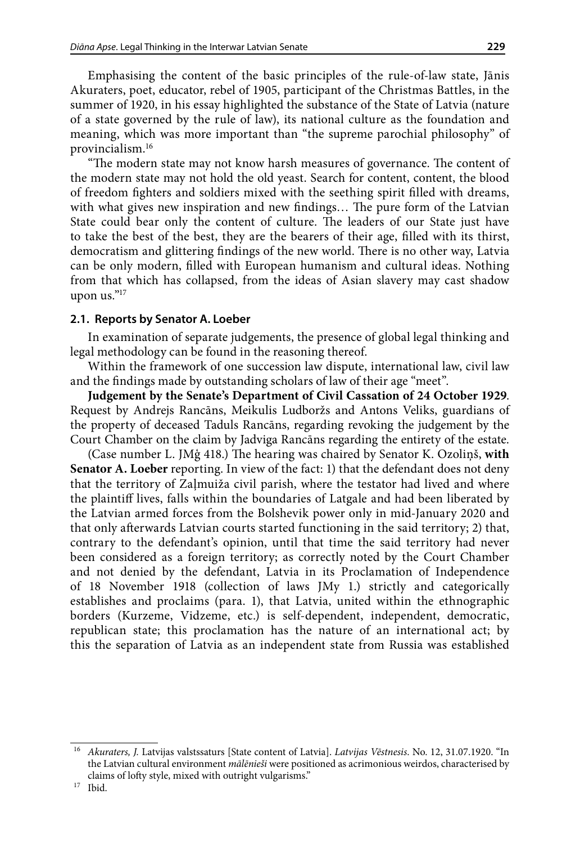Emphasising the content of the basic principles of the rule-of-law state, Jānis Akuraters, poet, educator, rebel of 1905, participant of the Christmas Battles, in the summer of 1920, in his essay highlighted the substance of the State of Latvia (nature of a state governed by the rule of law), its national culture as the foundation and meaning, which was more important than "the supreme parochial philosophy" of provincialism.16

"The modern state may not know harsh measures of governance. The content of the modern state may not hold the old yeast. Search for content, content, the blood of freedom fighters and soldiers mixed with the seething spirit filled with dreams, with what gives new inspiration and new findings… The pure form of the Latvian State could bear only the content of culture. The leaders of our State just have to take the best of the best, they are the bearers of their age, filled with its thirst, democratism and glittering findings of the new world. There is no other way, Latvia can be only modern, filled with European humanism and cultural ideas. Nothing from that which has collapsed, from the ideas of Asian slavery may cast shadow upon us."17

#### **2.1. Reports by Senator A. Loeber**

In examination of separate judgements, the presence of global legal thinking and legal methodology can be found in the reasoning thereof.

Within the framework of one succession law dispute, international law, civil law and the findings made by outstanding scholars of law of their age "meet".

**Judgement by the Senate's Department of Civil Cassation of 24 October 1929**. Request by Andrejs Rancāns, Meikulis Ludboržs and Antons Veliks, guardians of the property of deceased Taduls Rancāns, regarding revoking the judgement by the Court Chamber on the claim by Jadviga Rancāns regarding the entirety of the estate.

(Case number L. JMģ 418.) The hearing was chaired by Senator K. Ozoliņš, **with Senator A. Loeber** reporting. In view of the fact: 1) that the defendant does not deny that the territory of Zaļmuiža civil parish, where the testator had lived and where the plaintiff lives, falls within the boundaries of Latgale and had been liberated by the Latvian armed forces from the Bolshevik power only in mid-January 2020 and that only afterwards Latvian courts started functioning in the said territory; 2) that, contrary to the defendant's opinion, until that time the said territory had never been considered as a foreign territory; as correctly noted by the Court Chamber and not denied by the defendant, Latvia in its Proclamation of Independence of 18 November 1918 (collection of laws JMy 1.) strictly and categorically establishes and proclaims (para. 1), that Latvia, united within the ethnographic borders (Kurzeme, Vidzeme, etc.) is self-dependent, independent, democratic, republican state; this proclamation has the nature of an international act; by this the separation of Latvia as an independent state from Russia was established

<sup>16</sup> *Akuraters, J.* Latvijas valstssaturs [State content of Latvia]. *Latvijas Vēstnesis*. No. 12, 31.07.1920. "In the Latvian cultural environment *mālēnieši* were positioned as acrimonious weirdos, characterised by claims of lofty style, mixed with outright vulgarisms." 17 Ibid.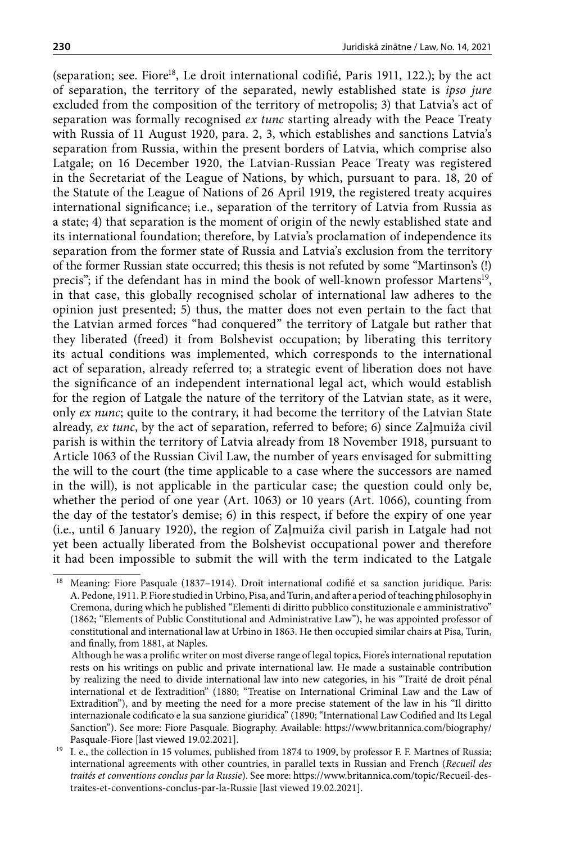(separation; see. Fiore<sup>18</sup>, Le droit international codifié, Paris 1911, 122.); by the act of separation, the territory of the separated, newly established state is *ipso jure* excluded from the composition of the territory of metropolis; 3) that Latvia's act of separation was formally recognised *ex tunc* starting already with the Peace Treaty with Russia of 11 August 1920, para. 2, 3, which establishes and sanctions Latvia's separation from Russia, within the present borders of Latvia, which comprise also Latgale; on 16 December 1920, the Latvian-Russian Peace Treaty was registered in the Secretariat of the League of Nations, by which, pursuant to para. 18, 20 of the Statute of the League of Nations of 26 April 1919, the registered treaty acquires international significance; i.e., separation of the territory of Latvia from Russia as a state; 4) that separation is the moment of origin of the newly established state and its international foundation; therefore, by Latvia's proclamation of independence its separation from the former state of Russia and Latvia's exclusion from the territory of the former Russian state occurred; this thesis is not refuted by some "Martinson's (!) precis"; if the defendant has in mind the book of well-known professor Martens<sup>19</sup>, in that case, this globally recognised scholar of international law adheres to the opinion just presented; 5) thus, the matter does not even pertain to the fact that the Latvian armed forces "had conquered" the territory of Latgale but rather that they liberated (freed) it from Bolshevist occupation; by liberating this territory its actual conditions was implemented, which corresponds to the international act of separation, already referred to; a strategic event of liberation does not have the significance of an independent international legal act, which would establish for the region of Latgale the nature of the territory of the Latvian state, as it were, only *ex nunc*; quite to the contrary, it had become the territory of the Latvian State already, *ex tunc*, by the act of separation, referred to before; 6) since Zaļmuiža civil parish is within the territory of Latvia already from 18 November 1918, pursuant to Article 1063 of the Russian Civil Law, the number of years envisaged for submitting the will to the court (the time applicable to a case where the successors are named in the will), is not applicable in the particular case; the question could only be, whether the period of one year (Art. 1063) or 10 years (Art. 1066), counting from the day of the testator's demise; 6) in this respect, if before the expiry of one year (i.e., until 6 January 1920), the region of Zaļmuiža civil parish in Latgale had not yet been actually liberated from the Bolshevist occupational power and therefore it had been impossible to submit the will with the term indicated to the Latgale

<sup>18</sup> Meaning: Fiore Pasquale (1837–1914). Droit international codifié et sa sanction juridique. Paris: A. Pedone, 1911. P. Fiore studied in Urbino, Pisa, and Turin, and after a period of teaching philosophy in Cremona, during which he published "Elementi di diritto pubblico constituzionale e amministrativo" (1862; "Elements of Public Constitutional and Administrative Law"), he was appointed professor of constitutional and international law at Urbino in 1863. He then occupied similar chairs at Pisa, Turin, and finally, from 1881, at Naples.

Although he was a prolific writer on most diverse range of legal topics, Fiore's international reputation rests on his writings on public and private international law. He made a sustainable contribution by realizing the need to divide international law into new categories, in his "Traité de droit pénal international et de l'extradition" (1880; "Treatise on International Criminal Law and the Law of Extradition"), and by meeting the need for a more precise statement of the law in his "Il diritto internazionale codificato e la sua sanzione giuridica" (1890; "International Law Codified and Its Legal Sanction"). See more: Fiore Pasquale. Biography. Available: [https://www.britannica.com/biography/](https://www.britannica.com/biography/Pasquale-Fiore ) [Pasquale-Fiore](https://www.britannica.com/biography/Pasquale-Fiore ) [last viewed 19.02.2021].

<sup>&</sup>lt;sup>19</sup> I. e., the collection in 15 volumes, published from 1874 to 1909, by professor F. F. Martnes of Russia; international agreements with other countries, in parallel texts in Russian and French (*Recueil des traités et conventions conclus par la Russie*). See more: [https://www.britannica.com/topic/Recueil-des](https://www.britannica.com/topic/Recueil-des-traites-et-conventions-conclus-par-la-Russie)[traites-et-conventions-conclus-par-la-Russie](https://www.britannica.com/topic/Recueil-des-traites-et-conventions-conclus-par-la-Russie) [last viewed 19.02.2021].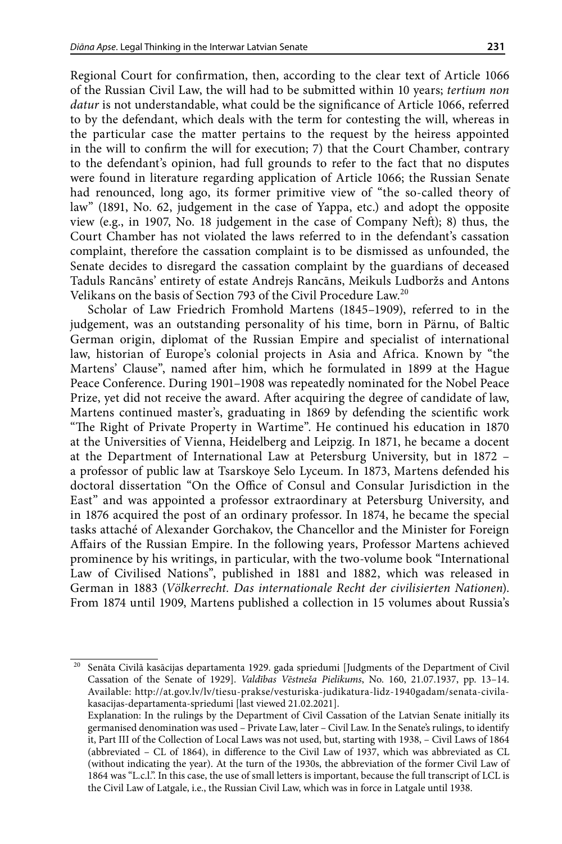Regional Court for confirmation, then, according to the clear text of Article 1066 of the Russian Civil Law, the will had to be submitted within 10 years; *tertium non datur* is not understandable, what could be the significance of Article 1066, referred to by the defendant, which deals with the term for contesting the will, whereas in the particular case the matter pertains to the request by the heiress appointed in the will to confirm the will for execution; 7) that the Court Chamber, contrary to the defendant's opinion, had full grounds to refer to the fact that no disputes were found in literature regarding application of Article 1066; the Russian Senate had renounced, long ago, its former primitive view of "the so-called theory of law" (1891, No. 62, judgement in the case of Yappa, etc.) and adopt the opposite view (e.g., in 1907, No. 18 judgement in the case of Company Neft); 8) thus, the Court Chamber has not violated the laws referred to in the defendant's cassation complaint, therefore the cassation complaint is to be dismissed as unfounded, the Senate decides to disregard the cassation complaint by the guardians of deceased Taduls Rancāns' entirety of estate Andrejs Rancāns, Meikuls Ludboržs and Antons Velikans on the basis of Section 793 of the Civil Procedure Law.20

Scholar of Law Friedrich Fromhold Martens (1845–1909), referred to in the judgement, was an outstanding personality of his time, born in Pärnu, of Baltic German origin, diplomat of the Russian Empire and specialist of international law, historian of Europe's colonial projects in Asia and Africa. Known by "the Martens' Clause", named after him, which he formulated in 1899 at the Hague Peace Conference. During 1901–1908 was repeatedly nominated for the Nobel Peace Prize, yet did not receive the award. After acquiring the degree of candidate of law, Martens continued master's, graduating in 1869 by defending the scientific work "The Right of Private Property in Wartime". He continued his education in 1870 at the Universities of Vienna, Heidelberg and Leipzig. In 1871, he became a docent at the Department of International Law at Petersburg University, but in 1872 – a professor of public law at Tsarskoye Selo Lyceum. In 1873, Martens defended his doctoral dissertation "On the Office of Consul and Consular Jurisdiction in the East" and was appointed a professor extraordinary at Petersburg University, and in 1876 acquired the post of an ordinary professor. In 1874, he became the special tasks attaché of Alexander Gorchakov, the Chancellor and the Minister for Foreign Affairs of the Russian Empire. In the following years, Professor Martens achieved prominence by his writings, in particular, with the two-volume book "International Law of Civilised Nations", published in 1881 and 1882, which was released in German in 1883 (*Völkerrecht. Das internationale Recht der civilisierten Nationen*). From 1874 until 1909, Martens published a collection in 15 volumes about Russia's

<sup>20</sup> Senāta Civilā kasācijas departamenta 1929. gada spriedumi [Judgments of the Department of Civil Cassation of the Senate of 1929]. *Valdības Vēstneša Pielikums*, No. 160, 21.07.1937, pp. 13–14. Available: http://at.gov.lv/lv/tiesu-prakse/vesturiska-judikatura-lidz-1940gadam/senata-civilakasacijas-departamenta-spriedumi [last viewed 21.02.2021].

Explanation: In the rulings by the Department of Civil Cassation of the Latvian Senate initially its germanised denomination was used – Private Law, later – Civil Law. In the Senate's rulings, to identify it, Part III of the Collection of Local Laws was not used, but, starting with 1938, – Civil Laws of 1864 (abbreviated – CL of 1864), in difference to the Civil Law of 1937, which was abbreviated as CL (without indicating the year). At the turn of the 1930s, the abbreviation of the former Civil Law of 1864 was "L.c.l.". In this case, the use of small letters is important, because the full transcript of LCL is the Civil Law of Latgale, i.e., the Russian Civil Law, which was in force in Latgale until 1938.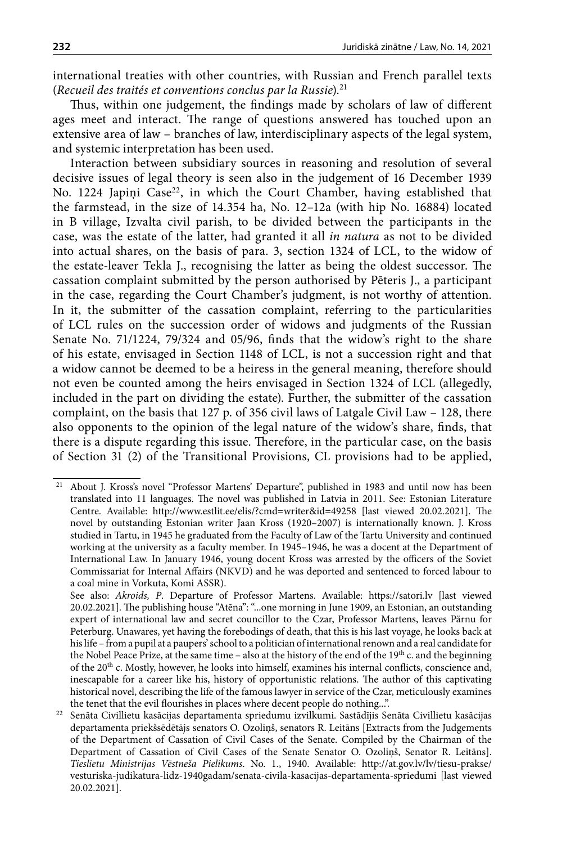international treaties with other countries, with Russian and French parallel texts (*Recueil des traités et conventions conclus par la Russie*).21

Thus, within one judgement, the findings made by scholars of law of different ages meet and interact. The range of questions answered has touched upon an extensive area of law – branches of law, interdisciplinary aspects of the legal system, and systemic interpretation has been used.

Interaction between subsidiary sources in reasoning and resolution of several decisive issues of legal theory is seen also in the judgement of 16 December 1939 No. 1224 Japiņi Case<sup>22</sup>, in which the Court Chamber, having established that the farmstead, in the size of 14.354 ha, No. 12–12a (with hip No. 16884) located in B village, Izvalta civil parish, to be divided between the participants in the case, was the estate of the latter, had granted it all *in natura* as not to be divided into actual shares, on the basis of para. 3, section 1324 of LCL, to the widow of the estate-leaver Tekla J., recognising the latter as being the oldest successor. The cassation complaint submitted by the person authorised by Pēteris J., a participant in the case, regarding the Court Chamber's judgment, is not worthy of attention. In it, the submitter of the cassation complaint, referring to the particularities of LCL rules on the succession order of widows and judgments of the Russian Senate No. 71/1224, 79/324 and 05/96, finds that the widow's right to the share of his estate, envisaged in Section 1148 of LCL, is not a succession right and that a widow cannot be deemed to be a heiress in the general meaning, therefore should not even be counted among the heirs envisaged in Section 1324 of LCL (allegedly, included in the part on dividing the estate). Further, the submitter of the cassation complaint, on the basis that 127 p. of 356 civil laws of Latgale Civil Law – 128, there also opponents to the opinion of the legal nature of the widow's share, finds, that there is a dispute regarding this issue. Therefore, in the particular case, on the basis of Section 31 (2) of the Transitional Provisions, CL provisions had to be applied,

<sup>21</sup> About J. Kross's novel "Professor Martens' Departure", published in 1983 and until now has been translated into 11 languages. The novel was published in Latvia in 2011. See: Estonian Literature Centre. Available: <http://www.estlit.ee/elis/?cmd=writer&id=49258>[last viewed 20.02.2021]. The novel by outstanding Estonian writer Jaan Kross (1920–2007) is internationally known. J. Kross studied in Tartu, in 1945 he graduated from the Faculty of Law of the Tartu University and continued working at the university as a faculty member. In 1945–1946, he was a docent at the Department of International Law. In January 1946, young docent Kross was arrested by the officers of the Soviet Commissariat for Internal Affairs (NKVD) and he was deported and sentenced to forced labour to a coal mine in Vorkuta, Komi ASSR).

See also: *Akroids, P*. Departure of Professor Martens. Available: <https://satori.lv>[last viewed 20.02.2021]. The publishing house "Atēna": "...one morning in June 1909, an Estonian, an outstanding expert of international law and secret councillor to the Czar, Professor Martens, leaves Pärnu for Peterburg. Unawares, yet having the forebodings of death, that this is his last voyage, he looks back at his life – from a pupil at a paupers' school to a politician of international renown and a real candidate for the Nobel Peace Prize, at the same time – also at the history of the end of the  $19<sup>th</sup>$  c. and the beginning of the 20th c. Mostly, however, he looks into himself, examines his internal conflicts, conscience and, inescapable for a career like his, history of opportunistic relations. The author of this captivating historical novel, describing the life of the famous lawyer in service of the Czar, meticulously examines the tenet that the evil flourishes in places where decent people do nothing...".

<sup>22</sup> Senāta Civillietu kasācijas departamenta spriedumu izvilkumi. Sastādījis Senāta Civillietu kasācijas departamenta priekšsēdētājs senators O. Ozoliņš, senators R. Leitāns [Extracts from the Judgements of the Department of Cassation of Civil Cases of the Senate. Compiled by the Chairman of the Department of Cassation of Civil Cases of the Senate Senator O. Ozoliņš, Senator R. Leitāns]. *Tieslietu Ministrijas Vēstneša Pielikums*. No. 1., 1940. Available: [http://at.gov.lv/lv/tiesu-prakse/](http://at.gov.lv/lv/tiesu-prakse/vesturiska-judikatura-lidz-1940gadam/senata-civila-kasacijas-departamenta-spriedumi) [vesturiska-judikatura-lidz-1940gadam/senata-civila-kasacijas-departamenta-spriedumi](http://at.gov.lv/lv/tiesu-prakse/vesturiska-judikatura-lidz-1940gadam/senata-civila-kasacijas-departamenta-spriedumi) [last viewed 20.02.2021].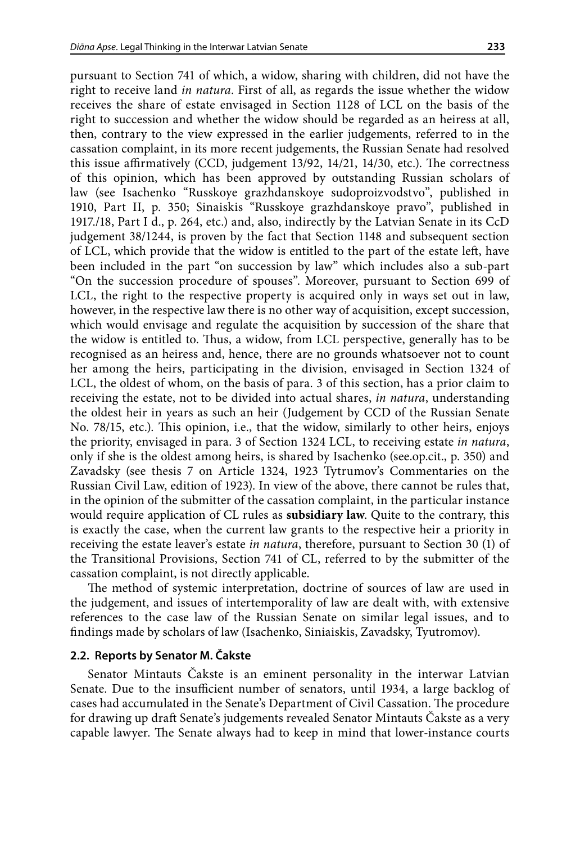pursuant to Section 741 of which, a widow, sharing with children, did not have the right to receive land *in natura*. First of all, as regards the issue whether the widow receives the share of estate envisaged in Section 1128 of LCL on the basis of the right to succession and whether the widow should be regarded as an heiress at all, then, contrary to the view expressed in the earlier judgements, referred to in the cassation complaint, in its more recent judgements, the Russian Senate had resolved this issue affirmatively (CCD, judgement 13/92, 14/21, 14/30, etc.). The correctness of this opinion, which has been approved by outstanding Russian scholars of law (see Isachenko "Russkoye grazhdanskoye sudoproizvodstvo", published in 1910, Part II, p. 350; Sinaiskis "Russkoye grazhdanskoye pravo", published in 1917./18, Part I d., p. 264, etc.) and, also, indirectly by the Latvian Senate in its CcD judgement 38/1244, is proven by the fact that Section 1148 and subsequent section of LCL, which provide that the widow is entitled to the part of the estate left, have been included in the part "on succession by law" which includes also a sub-part "On the succession procedure of spouses". Moreover, pursuant to Section 699 of LCL, the right to the respective property is acquired only in ways set out in law, however, in the respective law there is no other way of acquisition, except succession, which would envisage and regulate the acquisition by succession of the share that the widow is entitled to. Thus, a widow, from LCL perspective, generally has to be recognised as an heiress and, hence, there are no grounds whatsoever not to count her among the heirs, participating in the division, envisaged in Section 1324 of LCL, the oldest of whom, on the basis of para. 3 of this section, has a prior claim to receiving the estate, not to be divided into actual shares, *in natura*, understanding the oldest heir in years as such an heir (Judgement by CCD of the Russian Senate No. 78/15, etc.). This opinion, i.e., that the widow, similarly to other heirs, enjoys the priority, envisaged in para. 3 of Section 1324 LCL, to receiving estate *in natura*, only if she is the oldest among heirs, is shared by Isachenko (see.op.cit., p. 350) and Zavadsky (see thesis 7 on Article 1324, 1923 Tytrumov's Commentaries on the Russian Civil Law, edition of 1923). In view of the above, there cannot be rules that, in the opinion of the submitter of the cassation complaint, in the particular instance would require application of CL rules as **subsidiary law**. Quite to the contrary, this is exactly the case, when the current law grants to the respective heir a priority in receiving the estate leaver's estate *in natura*, therefore, pursuant to Section 30 (1) of the Transitional Provisions, Section 741 of CL, referred to by the submitter of the cassation complaint, is not directly applicable.

The method of systemic interpretation, doctrine of sources of law are used in the judgement, and issues of intertemporality of law are dealt with, with extensive references to the case law of the Russian Senate on similar legal issues, and to findings made by scholars of law (Isachenko, Siniaiskis, Zavadsky, Tyutromov).

#### **2.2. Reports by Senator M. Čakste**

Senator Mintauts Čakste is an eminent personality in the interwar Latvian Senate. Due to the insufficient number of senators, until 1934, a large backlog of cases had accumulated in the Senate's Department of Civil Cassation. The procedure for drawing up draft Senate's judgements revealed Senator Mintauts Čakste as a very capable lawyer. The Senate always had to keep in mind that lower-instance courts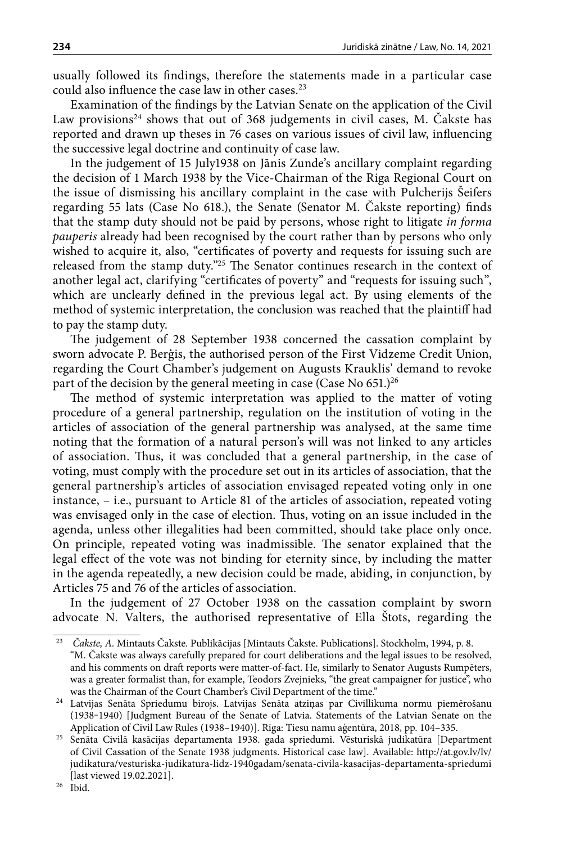usually followed its findings, therefore the statements made in a particular case could also influence the case law in other cases.23

Examination of the findings by the Latvian Senate on the application of the Civil Law provisions<sup>24</sup> shows that out of 368 judgements in civil cases, M. Čakste has reported and drawn up theses in 76 cases on various issues of civil law, influencing the successive legal doctrine and continuity of case law.

In the judgement of 15 July1938 on Jānis Zunde's ancillary complaint regarding the decision of 1 March 1938 by the Vice-Chairman of the Riga Regional Court on the issue of dismissing his ancillary complaint in the case with Pulcherijs Šeifers regarding 55 lats (Case No 618.), the Senate (Senator M. Čakste reporting) finds that the stamp duty should not be paid by persons, whose right to litigate *in forma pauperis* already had been recognised by the court rather than by persons who only wished to acquire it, also, "certificates of poverty and requests for issuing such are released from the stamp duty."25 The Senator continues research in the context of another legal act, clarifying "certificates of poverty" and "requests for issuing such", which are unclearly defined in the previous legal act. By using elements of the method of systemic interpretation, the conclusion was reached that the plaintiff had to pay the stamp duty.

The judgement of 28 September 1938 concerned the cassation complaint by sworn advocate P. Berģis, the authorised person of the First Vidzeme Credit Union, regarding the Court Chamber's judgement on Augusts Krauklis' demand to revoke part of the decision by the general meeting in case (Case No  $651$ .)<sup>26</sup>

The method of systemic interpretation was applied to the matter of voting procedure of a general partnership, regulation on the institution of voting in the articles of association of the general partnership was analysed, at the same time noting that the formation of a natural person's will was not linked to any articles of association. Thus, it was concluded that a general partnership, in the case of voting, must comply with the procedure set out in its articles of association, that the general partnership's articles of association envisaged repeated voting only in one instance, – i.e., pursuant to Article 81 of the articles of association, repeated voting was envisaged only in the case of election. Thus, voting on an issue included in the agenda, unless other illegalities had been committed, should take place only once. On principle, repeated voting was inadmissible. The senator explained that the legal effect of the vote was not binding for eternity since, by including the matter in the agenda repeatedly, a new decision could be made, abiding, in conjunction, by Articles 75 and 76 of the articles of association.

In the judgement of 27 October 1938 on the cassation complaint by sworn advocate N. Valters, the authorised representative of Ella Štots, regarding the

<sup>23</sup> *Čakste, A.* Mintauts Čakste. Publikācijas [Mintauts Čakste. Publications]. Stockholm, 1994, p. 8. "M. Čakste was always carefully prepared for court deliberations and the legal issues to be resolved, and his comments on draft reports were matter-of-fact. He, similarly to Senator Augusts Rumpēters, was a greater formalist than, for example, Teodors Zvejnieks, "the great campaigner for justice", who was the Chairman of the Court Chamber's Civil Department of the time."

<sup>24</sup> Latvijas Senāta Spriedumu birojs. Latvijas Senāta atziņas par Civillikuma normu piemērošanu (1938‒1940) [Judgment Bureau of the Senate of Latvia. Statements of the Latvian Senate on the Application of Civil Law Rules (1938–1940)]. Rīga: Tiesu namu aģentūra, 2018, pp. 104–335.

<sup>25</sup> Senāta Civilā kasācijas departamenta 1938. gada spriedumi. Vēsturiskā judikatūra [Department of Civil Cassation of the Senate 1938 judgments. Historical case law]. Available: [http://at.gov.lv/lv/](http://at.gov.lv/lv/judikatura/vesturiska-judikatura-lidz-1940gadam/senata-civila-kasacijas-departamenta-spriedumi) [judikatura/vesturiska-judikatura-lidz-1940gadam/senata-civila-kasacijas-departamenta-spriedumi](http://at.gov.lv/lv/judikatura/vesturiska-judikatura-lidz-1940gadam/senata-civila-kasacijas-departamenta-spriedumi) [last viewed 19.02.2021].

<sup>26</sup> Ibid.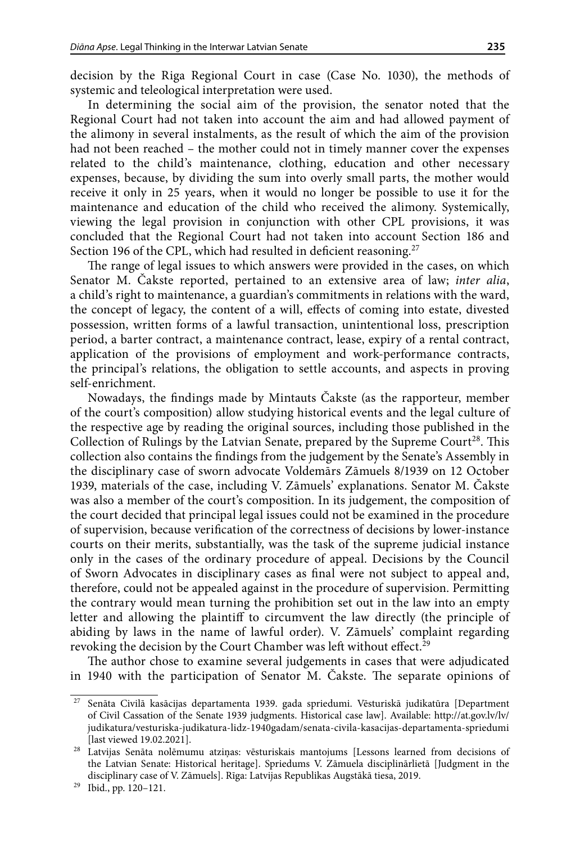decision by the Riga Regional Court in case (Case No. 1030), the methods of systemic and teleological interpretation were used.

In determining the social aim of the provision, the senator noted that the Regional Court had not taken into account the aim and had allowed payment of the alimony in several instalments, as the result of which the aim of the provision had not been reached – the mother could not in timely manner cover the expenses related to the child's maintenance, clothing, education and other necessary expenses, because, by dividing the sum into overly small parts, the mother would receive it only in 25 years, when it would no longer be possible to use it for the maintenance and education of the child who received the alimony. Systemically, viewing the legal provision in conjunction with other CPL provisions, it was concluded that the Regional Court had not taken into account Section 186 and Section 196 of the CPL, which had resulted in deficient reasoning.<sup>27</sup>

The range of legal issues to which answers were provided in the cases, on which Senator M. Čakste reported, pertained to an extensive area of law; *inter alia*, a child's right to maintenance, a guardian's commitments in relations with the ward, the concept of legacy, the content of a will, effects of coming into estate, divested possession, written forms of a lawful transaction, unintentional loss, prescription period, a barter contract, a maintenance contract, lease, expiry of a rental contract, application of the provisions of employment and work-performance contracts, the principal's relations, the obligation to settle accounts, and aspects in proving self-enrichment.

Nowadays, the findings made by Mintauts Čakste (as the rapporteur, member of the court's composition) allow studying historical events and the legal culture of the respective age by reading the original sources, including those published in the Collection of Rulings by the Latvian Senate, prepared by the Supreme Court<sup>28</sup>. This collection also contains the findings from the judgement by the Senate's Assembly in the disciplinary case of sworn advocate Voldemārs Zāmuels 8/1939 on 12 October 1939, materials of the case, including V. Zāmuels' explanations. Senator M. Čakste was also a member of the court's composition. In its judgement, the composition of the court decided that principal legal issues could not be examined in the procedure of supervision, because verification of the correctness of decisions by lower-instance courts on their merits, substantially, was the task of the supreme judicial instance only in the cases of the ordinary procedure of appeal. Decisions by the Council of Sworn Advocates in disciplinary cases as final were not subject to appeal and, therefore, could not be appealed against in the procedure of supervision. Permitting the contrary would mean turning the prohibition set out in the law into an empty letter and allowing the plaintiff to circumvent the law directly (the principle of abiding by laws in the name of lawful order). V. Zāmuels' complaint regarding revoking the decision by the Court Chamber was left without effect.<sup>29</sup>

The author chose to examine several judgements in cases that were adjudicated in 1940 with the participation of Senator M. Čakste. The separate opinions of

<sup>27</sup> Senāta Civilā kasācijas departamenta 1939. gada spriedumi. Vēsturiskā judikatūra [Department of Civil Cassation of the Senate 1939 judgments. Historical case law]. Available: [http://at.gov.lv/lv/](http://at.gov.lv/lv/judikatura/vesturiska-judikatura-lidz-1940gadam/senata-civila-kasacijas-departamenta-spriedumi) [judikatura/vesturiska-judikatura-lidz-1940gadam/senata-civila-kasacijas-departamenta-spriedumi](http://at.gov.lv/lv/judikatura/vesturiska-judikatura-lidz-1940gadam/senata-civila-kasacijas-departamenta-spriedumi) [last viewed 19.02.2021].

<sup>&</sup>lt;sup>28</sup> Latvijas Senāta nolēmumu atziņas: vēsturiskais mantojums [Lessons learned from decisions of the Latvian Senate: Historical heritage]. Spriedums V. Zāmuela disciplinārlietā [Judgment in the disciplinary case of V. Zāmuels]. Rīga: Latvijas Republikas Augstākā tiesa, 2019.

 $^{29}$  Ibid., pp. 120–121.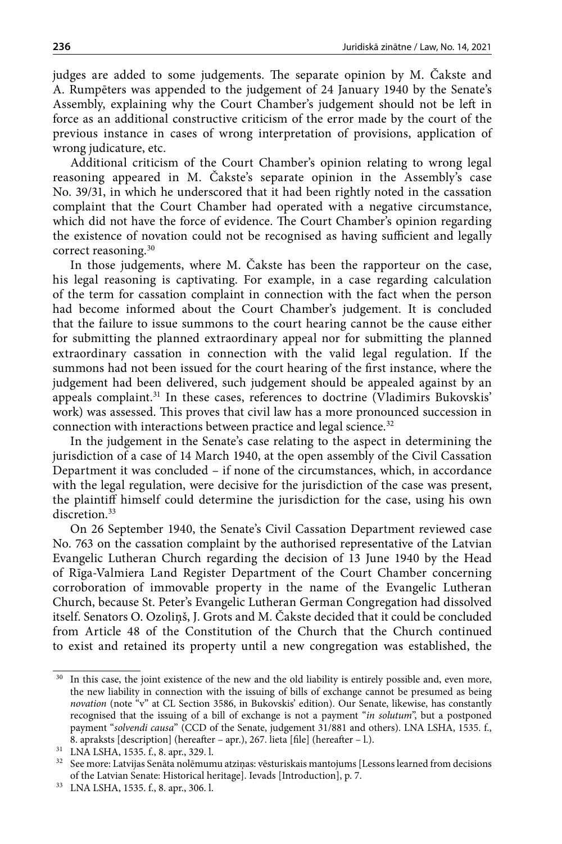judges are added to some judgements. The separate opinion by M. Čakste and A. Rumpēters was appended to the judgement of 24 January 1940 by the Senate's Assembly, explaining why the Court Chamber's judgement should not be left in force as an additional constructive criticism of the error made by the court of the previous instance in cases of wrong interpretation of provisions, application of wrong judicature, etc.

Additional criticism of the Court Chamber's opinion relating to wrong legal reasoning appeared in M. Čakste's separate opinion in the Assembly's case No. 39/31, in which he underscored that it had been rightly noted in the cassation complaint that the Court Chamber had operated with a negative circumstance, which did not have the force of evidence. The Court Chamber's opinion regarding the existence of novation could not be recognised as having sufficient and legally correct reasoning.30

In those judgements, where M. Čakste has been the rapporteur on the case, his legal reasoning is captivating. For example, in a case regarding calculation of the term for cassation complaint in connection with the fact when the person had become informed about the Court Chamber's judgement. It is concluded that the failure to issue summons to the court hearing cannot be the cause either for submitting the planned extraordinary appeal nor for submitting the planned extraordinary cassation in connection with the valid legal regulation. If the summons had not been issued for the court hearing of the first instance, where the judgement had been delivered, such judgement should be appealed against by an appeals complaint.<sup>31</sup> In these cases, references to doctrine (Vladimirs Bukovskis' work) was assessed. This proves that civil law has a more pronounced succession in connection with interactions between practice and legal science.<sup>32</sup>

In the judgement in the Senate's case relating to the aspect in determining the jurisdiction of a case of 14 March 1940, at the open assembly of the Civil Cassation Department it was concluded – if none of the circumstances, which, in accordance with the legal regulation, were decisive for the jurisdiction of the case was present, the plaintiff himself could determine the jurisdiction for the case, using his own discretion.<sup>33</sup>

On 26 September 1940, the Senate's Civil Cassation Department reviewed case No. 763 on the cassation complaint by the authorised representative of the Latvian Evangelic Lutheran Church regarding the decision of 13 June 1940 by the Head of Rīga-Valmiera Land Register Department of the Court Chamber concerning corroboration of immovable property in the name of the Evangelic Lutheran Church, because St. Peter's Evangelic Lutheran German Congregation had dissolved itself. Senators O. Ozoliņš, J. Grots and M. Čakste decided that it could be concluded from Article 48 of the Constitution of the Church that the Church continued to exist and retained its property until a new congregation was established, the

In this case, the joint existence of the new and the old liability is entirely possible and, even more, the new liability in connection with the issuing of bills of exchange cannot be presumed as being *novation* (note "v" at CL Section 3586, in Bukovskis' edition). Our Senate, likewise, has constantly recognised that the issuing of a bill of exchange is not a payment "*in solutum*", but a postponed payment "*solvendi causa*" (CCD of the Senate, judgement 31/881 and others). LNA LSHA, 1535. f., 8. apraksts [description] (hereafter – apr.), 267. lieta [file] (hereafter – l.).

<sup>31</sup> LNA LSHA, 1535. f., 8. apr., 329. l.

<sup>32</sup> See more: Latvijas Senāta nolēmumu atziņas: vēsturiskais mantojums [Lessons learned from decisions of the Latvian Senate: Historical heritage]. Ievads [Introduction], p. 7.

<sup>33</sup> LNA LSHA, 1535. f., 8. apr., 306. l.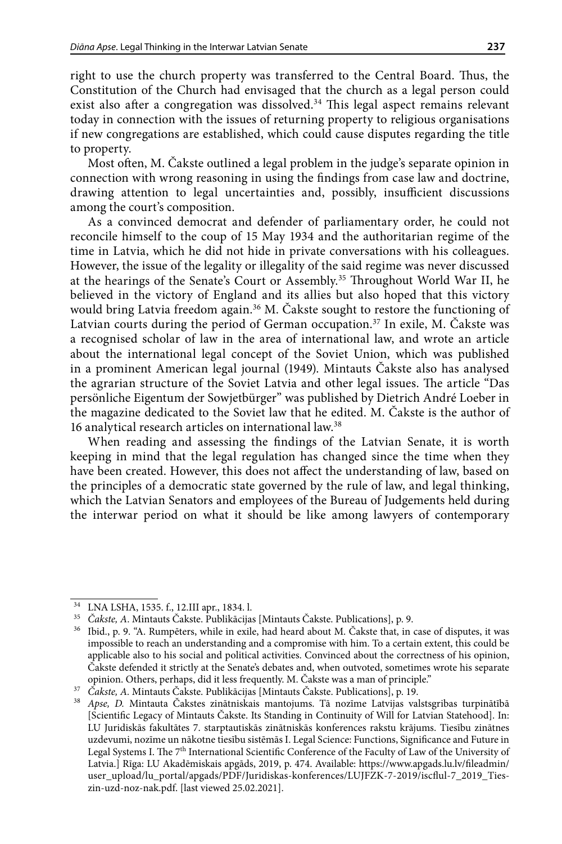right to use the church property was transferred to the Central Board. Thus, the Constitution of the Church had envisaged that the church as a legal person could exist also after a congregation was dissolved. $34$  This legal aspect remains relevant today in connection with the issues of returning property to religious organisations if new congregations are established, which could cause disputes regarding the title to property.

Most often, M. Čakste outlined a legal problem in the judge's separate opinion in connection with wrong reasoning in using the findings from case law and doctrine, drawing attention to legal uncertainties and, possibly, insufficient discussions among the court's composition.

As a convinced democrat and defender of parliamentary order, he could not reconcile himself to the coup of 15 May 1934 and the authoritarian regime of the time in Latvia, which he did not hide in private conversations with his colleagues. However, the issue of the legality or illegality of the said regime was never discussed at the hearings of the Senate's Court or Assembly.35 Throughout World War II, he believed in the victory of England and its allies but also hoped that this victory would bring Latvia freedom again.<sup>36</sup> M. Čakste sought to restore the functioning of Latvian courts during the period of German occupation.<sup>37</sup> In exile, M. Čakste was a recognised scholar of law in the area of international law, and wrote an article about the international legal concept of the Soviet Union, which was published in a prominent American legal journal (1949). Mintauts Čakste also has analysed the agrarian structure of the Soviet Latvia and other legal issues. The article "Das persönliche Eigentum der Sowjetbürger" was published by Dietrich André Loeber in the magazine dedicated to the Soviet law that he edited. M. Čakste is the author of 16 analytical research articles on international law.<sup>38</sup>

When reading and assessing the findings of the Latvian Senate, it is worth keeping in mind that the legal regulation has changed since the time when they have been created. However, this does not affect the understanding of law, based on the principles of a democratic state governed by the rule of law, and legal thinking, which the Latvian Senators and employees of the Bureau of Judgements held during the interwar period on what it should be like among lawyers of contemporary

<sup>34</sup> LNA LSHA, 1535. f., 12.III apr., 1834. l.

<sup>35</sup> *Čakste, A*. Mintauts Čakste. Publikācijas [Mintauts Čakste. Publications], p. 9.

<sup>36</sup> Ibid., p. 9. "A. Rumpēters, while in exile, had heard about M. Čakste that, in case of disputes, it was impossible to reach an understanding and a compromise with him. To a certain extent, this could be applicable also to his social and political activities. Convinced about the correctness of his opinion, Čakste defended it strictly at the Senate's debates and, when outvoted, sometimes wrote his separate opinion. Others, perhaps, did it less frequently. M. Čakste was a man of principle."

<sup>37</sup> *Čakste, A.* Mintauts Čakste. Publikācijas [Mintauts Čakste. Publications], p. 19.

<sup>38</sup> *Apse, D.* Mintauta Čakstes zinātniskais mantojums. Tā nozīme Latvijas valstsgribas turpinātībā [Scientific Legacy of Mintauts Čakste. Its Standing in Continuity of Will for Latvian Statehood]. In: LU Juridiskās fakultātes 7. starptautiskās zinātniskās konferences rakstu krājums. Tiesību zinātnes uzdevumi, nozīme un nākotne tiesību sistēmās I. Legal Science: Functions, Significance and Future in Legal Systems I. The 7<sup>th</sup> International Scientific Conference of the Faculty of Law of the University of Latvia.] Rīga: LU Akadēmiskais apgāds, 2019, p. 474. Available: [https://www.apgads.lu.lv/fileadmin/](https://www.apgads.lu.lv/fileadmin/user_upload/lu_portal/apgads/PDF/Juridiskas-konferences/LUJFZK-7-2019/iscflul-7_2019_Ties-zin-uzd-noz-nak.pdf) [user\\_upload/lu\\_portal/apgads/PDF/Juridiskas-konferences/LUJFZK-7-2019/iscflul-7\\_2019\\_Ties](https://www.apgads.lu.lv/fileadmin/user_upload/lu_portal/apgads/PDF/Juridiskas-konferences/LUJFZK-7-2019/iscflul-7_2019_Ties-zin-uzd-noz-nak.pdf)[zin-uzd-noz-nak.pdf.](https://www.apgads.lu.lv/fileadmin/user_upload/lu_portal/apgads/PDF/Juridiskas-konferences/LUJFZK-7-2019/iscflul-7_2019_Ties-zin-uzd-noz-nak.pdf) [last viewed 25.02.2021].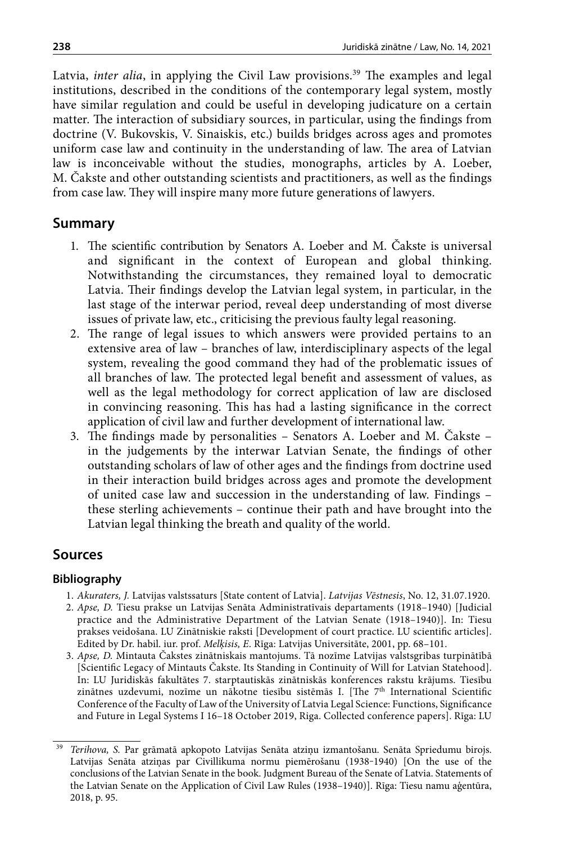Latvia, *inter alia*, in applying the Civil Law provisions.<sup>39</sup> The examples and legal institutions, described in the conditions of the contemporary legal system, mostly have similar regulation and could be useful in developing judicature on a certain matter. The interaction of subsidiary sources, in particular, using the findings from doctrine (V. Bukovskis, V. Sinaiskis, etc.) builds bridges across ages and promotes uniform case law and continuity in the understanding of law. The area of Latvian law is inconceivable without the studies, monographs, articles by A. Loeber, M. Čakste and other outstanding scientists and practitioners, as well as the findings from case law. They will inspire many more future generations of lawyers.

## **Summary**

- 1. The scientific contribution by Senators A. Loeber and M. Čakste is universal and significant in the context of European and global thinking. Notwithstanding the circumstances, they remained loyal to democratic Latvia. Their findings develop the Latvian legal system, in particular, in the last stage of the interwar period, reveal deep understanding of most diverse issues of private law, etc., criticising the previous faulty legal reasoning.
- 2. The range of legal issues to which answers were provided pertains to an extensive area of law – branches of law, interdisciplinary aspects of the legal system, revealing the good command they had of the problematic issues of all branches of law. The protected legal benefit and assessment of values, as well as the legal methodology for correct application of law are disclosed in convincing reasoning. This has had a lasting significance in the correct application of civil law and further development of international law.
- 3. The findings made by personalities Senators A. Loeber and M. Čakste in the judgements by the interwar Latvian Senate, the findings of other outstanding scholars of law of other ages and the findings from doctrine used in their interaction build bridges across ages and promote the development of united case law and succession in the understanding of law. Findings – these sterling achievements – continue their path and have brought into the Latvian legal thinking the breath and quality of the world.

## **Sources**

### **Bibliography**

- 1. *Akuraters, J.* Latvijas valstssaturs [State content of Latvia]. *Latvijas Vēstnesis*, No. 12, 31.07.1920.
- 2. *Apse, D.* Tiesu prakse un Latvijas Senāta Administratīvais departaments (1918–1940) [Judicial practice and the Administrative Department of the Latvian Senate (1918–1940)]. In: Tiesu prakses veidošana. LU Zinātniskie raksti [Development of court practice. LU scientific articles]. Edited by Dr. habil. iur. prof. *Melķisis, E*. Rīga: Latvijas Universitāte, 2001, pp. 68–101.
- 3. *Apse, D.* Mintauta Čakstes zinātniskais mantojums. Tā nozīme Latvijas valstsgribas turpinātībā [Scientific Legacy of Mintauts Čakste. Its Standing in Continuity of Will for Latvian Statehood]. In: LU Juridiskās fakultātes 7. starptautiskās zinātniskās konferences rakstu krājums. Tiesību zinātnes uzdevumi, nozīme un nākotne tiesību sistēmās I. [The  $7<sup>th</sup>$  International Scientific Conference of the Faculty of Law of the University of Latvia Legal Science: Functions, Significance and Future in Legal Systems I 16–18 October 2019, Riga. Collected conference papers]. Rīga: LU

<sup>39</sup> *Terihova, S.* Par grāmatā apkopoto Latvijas Senāta atziņu izmantošanu. Senāta Spriedumu birojs. Latvijas Senāta atziņas par Civillikuma normu piemērošanu (1938-1940) [On the use of the conclusions of the Latvian Senate in the book. Judgment Bureau of the Senate of Latvia. Statements of the Latvian Senate on the Application of Civil Law Rules (1938–1940)]. Rīga: Tiesu namu aģentūra, 2018, p. 95.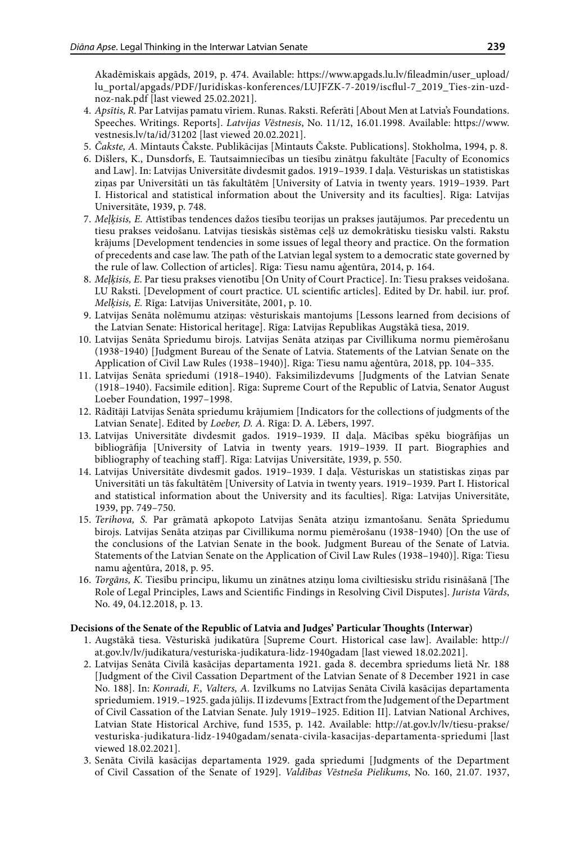Akadēmiskais apgāds, 2019, p. 474. Available: [https://www.apgads.lu.lv/fileadmin/user\\_upload/](https://www.apgads.lu.lv/fileadmin/user_upload/lu_portal/apgads/PDF/Juridiskas-konferences/LUJFZK-7-2019/iscflul-7_2019_Ties-zin-uzd-noz-nak.pdf) [lu\\_portal/apgads/PDF/Juridiskas-konferences/LUJFZK-7-2019/iscflul-7\\_2019\\_Ties-zin-uzd](https://www.apgads.lu.lv/fileadmin/user_upload/lu_portal/apgads/PDF/Juridiskas-konferences/LUJFZK-7-2019/iscflul-7_2019_Ties-zin-uzd-noz-nak.pdf)[noz-nak.pdf](https://www.apgads.lu.lv/fileadmin/user_upload/lu_portal/apgads/PDF/Juridiskas-konferences/LUJFZK-7-2019/iscflul-7_2019_Ties-zin-uzd-noz-nak.pdf) [last viewed 25.02.2021].

- 4. *Apsītis, R.* Par Latvijas pamatu vīriem. Runas. Raksti. Referāti [About Men at Latvia's Foundations. Speeches. Writings. Reports]. *Latvijas Vēstnesis*, No. 11/12, 16.01.1998. Available: [https://www.](https://www.vestnesis.lv/ta/id/31202) [vestnesis.lv/ta/id/31202](https://www.vestnesis.lv/ta/id/31202) [last viewed 20.02.2021].
- 5. *Čakste, A.* Mintauts Čakste. Publikācijas [Mintauts Čakste. Publications]. Stokholma, 1994, p. 8.
- 6. Dišlers, K., Dunsdorfs, E. Tautsaimniecības un tiesību zinātņu fakultāte [Faculty of Economics and Law]. In: Latvijas Universitāte divdesmit gados. 1919–1939. I daļa. Vēsturiskas un statistiskas ziņas par Universitāti un tās fakultātēm [University of Latvia in twenty years. 1919–1939. Part I. Historical and statistical information about the University and its faculties]. Rīga: Latvijas Universitāte, 1939, p. 748.
- 7. *Meļķisis, E.* Attīstības tendences dažos tiesību teorijas un prakses jautājumos. Par precedentu un tiesu prakses veidošanu. Latvijas tiesiskās sistēmas ceļš uz demokrātisku tiesisku valsti. Rakstu krājums [Development tendencies in some issues of legal theory and practice. On the formation of precedents and case law. The path of the Latvian legal system to a democratic state governed by the rule of law. Collection of articles]. Rīga: Tiesu namu aģentūra, 2014, p. 164.
- 8. *Meļķisis, E*. Par tiesu prakses vienotību [On Unity of Court Practice]. In: Tiesu prakses veidošana. LU Raksti. [Development of court practice. UL scientific articles]. Edited by Dr. habil. iur. prof. *Melķisis, E.* Rīga: Latvijas Universitāte, 2001, p. 10.
- 9. Latvijas Senāta nolēmumu atziņas: vēsturiskais mantojums [Lessons learned from decisions of the Latvian Senate: Historical heritage]. Rīga: Latvijas Republikas Augstākā tiesa, 2019.
- 10. Latvijas Senāta Spriedumu birojs. Latvijas Senāta atziņas par Civillikuma normu piemērošanu (1938‒1940) [Judgment Bureau of the Senate of Latvia. Statements of the Latvian Senate on the Application of Civil Law Rules (1938–1940)]. Rīga: Tiesu namu aģentūra, 2018, pp. 104–335.
- 11. Latvijas Senāta spriedumi (1918–1940). Faksimilizdevums [Judgments of the Latvian Senate (1918–1940). Facsimile edition]. Rīga: Supreme Court of the Republic of Latvia, Senator August Loeber Foundation, 1997–1998.
- 12. Rādītāji Latvijas Senāta spriedumu krājumiem [Indicators for the collections of judgments of the Latvian Senate]. Edited by *Loeber, D. A.* Rīga: D. A. Lēbers, 1997.
- 13. Latvijas Universitāte divdesmit gados. 1919–1939. II daļa. Mācības spēku biogrāfijas un bibliogrāfija [University of Latvia in twenty years. 1919–1939. II part. Biographies and bibliography of teaching staff]. Rīga: Latvijas Universitāte, 1939, p. 550.
- 14. Latvijas Universitāte divdesmit gados. 1919–1939. I daļa. Vēsturiskas un statistiskas ziņas par Universitāti un tās fakultātēm [University of Latvia in twenty years. 1919–1939. Part I. Historical and statistical information about the University and its faculties]. Rīga: Latvijas Universitāte, 1939, pp. 749–750.
- 15. *Terihova, S.* Par grāmatā apkopoto Latvijas Senāta atziņu izmantošanu. Senāta Spriedumu birojs. Latvijas Senāta atziņas par Civillikuma normu piemērošanu (1938-1940) [On the use of the conclusions of the Latvian Senate in the book. Judgment Bureau of the Senate of Latvia. Statements of the Latvian Senate on the Application of Civil Law Rules (1938–1940)]. Rīga: Tiesu namu aģentūra, 2018, p. 95.
- 16. *Torgāns, K.* Tiesību principu, likumu un zinātnes atziņu loma civiltiesisku strīdu risināšanā [The Role of Legal Principles, Laws and Scientific Findings in Resolving Civil Disputes]. *Jurista Vārds*, No. 49, 04.12.2018, p. 13.

#### **Decisions of the Senate of the Republic of Latvia and Judges' Particular Thoughts (Interwar)**

- 1. Augstākā tiesa. Vēsturiskā judikatūra [Supreme Court. Historical case law]. Available: http:// at.gov.lv/lv/judikatura/vesturiska-judikatura-lidz-1940gadam [last viewed 18.02.2021].
- 2. Latvijas Senāta Civilā kasācijas departamenta 1921. gada 8. decembra spriedums lietā Nr. 188 [Judgment of the Civil Cassation Department of the Latvian Senate of 8 December 1921 in case No. 188]. In: *Konradi, F., Valters, A.* Izvilkums no Latvijas Senāta Civilā kasācijas departamenta spriedumiem. 1919.–1925. gada jūlijs. II izdevums [Extract from the Judgement of the Department of Civil Cassation of the Latvian Senate. July 1919–1925. Edition II]. Latvian National Archives, Latvian State Historical Archive, fund 1535, p. 142. Available: [http://at.gov.lv/lv/tiesu-prakse/](http://at.gov.lv/lv/tiesu-prakse/vesturiska-judikatura-lidz-1940gadam/senata-civila-kasacijas-departamenta-spriedumi) [vesturiska-judikatura-lidz-1940gadam/senata-civila-kasacijas-departamenta-spriedumi](http://at.gov.lv/lv/tiesu-prakse/vesturiska-judikatura-lidz-1940gadam/senata-civila-kasacijas-departamenta-spriedumi) [last viewed 18.02.2021].
- 3. Senāta Civilā kasācijas departamenta 1929. gada spriedumi [Judgments of the Department of Civil Cassation of the Senate of 1929]. *Valdības Vēstneša Pielikums*, No. 160, 21.07. 1937,